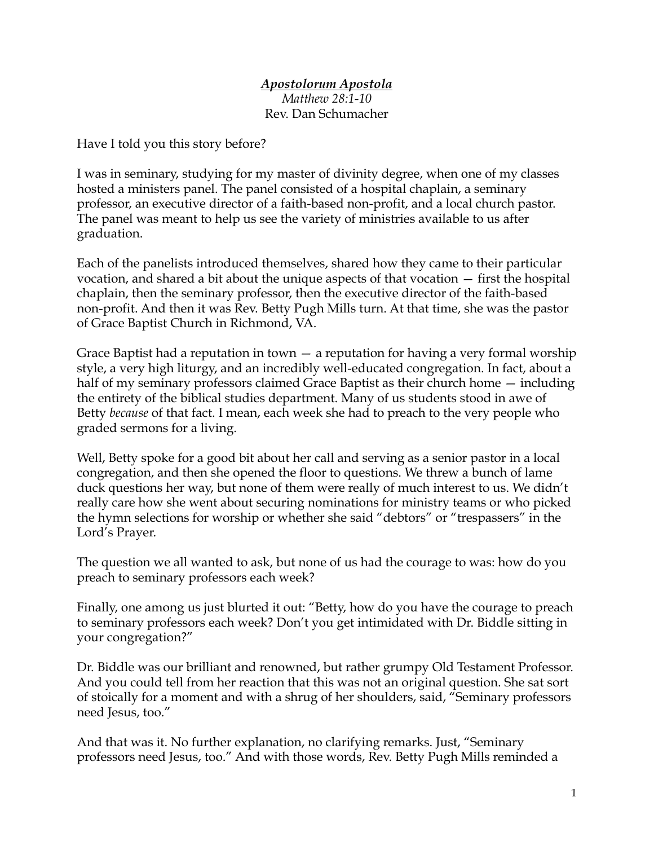## *Apostolorum Apostola Matthew 28:1-10* Rev. Dan Schumacher

Have I told you this story before?

I was in seminary, studying for my master of divinity degree, when one of my classes hosted a ministers panel. The panel consisted of a hospital chaplain, a seminary professor, an executive director of a faith-based non-profit, and a local church pastor. The panel was meant to help us see the variety of ministries available to us after graduation.

Each of the panelists introduced themselves, shared how they came to their particular vocation, and shared a bit about the unique aspects of that vocation — first the hospital chaplain, then the seminary professor, then the executive director of the faith-based non-profit. And then it was Rev. Betty Pugh Mills turn. At that time, she was the pastor of Grace Baptist Church in Richmond, VA.

Grace Baptist had a reputation in town — a reputation for having a very formal worship style, a very high liturgy, and an incredibly well-educated congregation. In fact, about a half of my seminary professors claimed Grace Baptist as their church home  $-$  including the entirety of the biblical studies department. Many of us students stood in awe of Betty *because* of that fact. I mean, each week she had to preach to the very people who graded sermons for a living.

Well, Betty spoke for a good bit about her call and serving as a senior pastor in a local congregation, and then she opened the floor to questions. We threw a bunch of lame duck questions her way, but none of them were really of much interest to us. We didn't really care how she went about securing nominations for ministry teams or who picked the hymn selections for worship or whether she said "debtors" or "trespassers" in the Lord's Prayer.

The question we all wanted to ask, but none of us had the courage to was: how do you preach to seminary professors each week?

Finally, one among us just blurted it out: "Betty, how do you have the courage to preach to seminary professors each week? Don't you get intimidated with Dr. Biddle sitting in your congregation?"

Dr. Biddle was our brilliant and renowned, but rather grumpy Old Testament Professor. And you could tell from her reaction that this was not an original question. She sat sort of stoically for a moment and with a shrug of her shoulders, said, "Seminary professors need Jesus, too."

And that was it. No further explanation, no clarifying remarks. Just, "Seminary professors need Jesus, too." And with those words, Rev. Betty Pugh Mills reminded a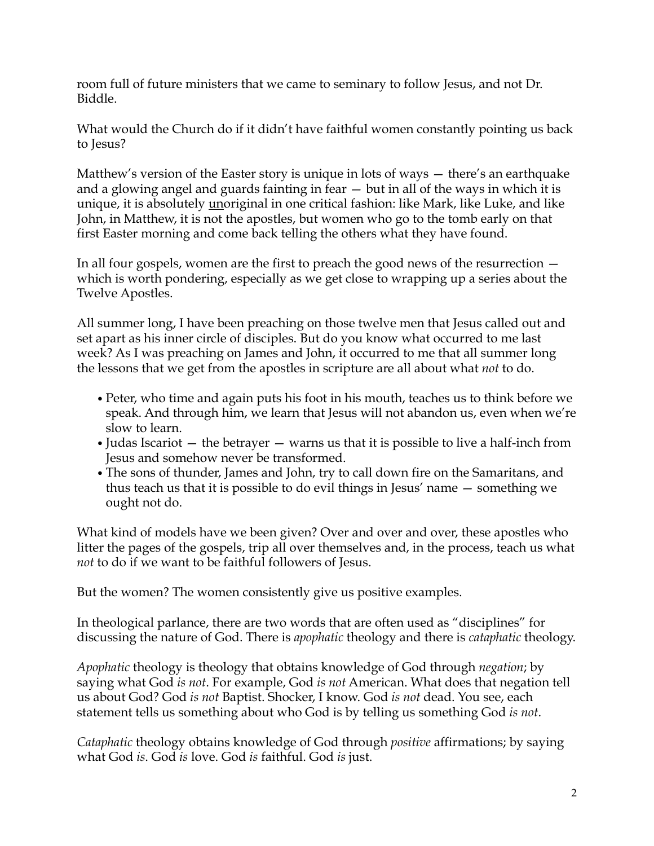room full of future ministers that we came to seminary to follow Jesus, and not Dr. Biddle.

What would the Church do if it didn't have faithful women constantly pointing us back to Jesus?

Matthew's version of the Easter story is unique in lots of ways — there's an earthquake and a glowing angel and guards fainting in fear — but in all of the ways in which it is unique, it is absolutely unoriginal in one critical fashion: like Mark, like Luke, and like John, in Matthew, it is not the apostles, but women who go to the tomb early on that first Easter morning and come back telling the others what they have found.

In all four gospels, women are the first to preach the good news of the resurrection which is worth pondering, especially as we get close to wrapping up a series about the Twelve Apostles.

All summer long, I have been preaching on those twelve men that Jesus called out and set apart as his inner circle of disciples. But do you know what occurred to me last week? As I was preaching on James and John, it occurred to me that all summer long the lessons that we get from the apostles in scripture are all about what *not* to do.

- *•*Peter, who time and again puts his foot in his mouth, teaches us to think before we speak. And through him, we learn that Jesus will not abandon us, even when we're slow to learn.
- Judas Iscariot the betrayer warns us that it is possible to live a half-inch from Jesus and somehow never be transformed.
- *•*The sons of thunder, James and John, try to call down fire on the Samaritans, and thus teach us that it is possible to do evil things in Jesus' name — something we ought not do.

What kind of models have we been given? Over and over and over, these apostles who litter the pages of the gospels, trip all over themselves and, in the process, teach us what *not* to do if we want to be faithful followers of Jesus.

But the women? The women consistently give us positive examples.

In theological parlance, there are two words that are often used as "disciplines" for discussing the nature of God. There is *apophatic* theology and there is *cataphatic* theology.

*Apophatic* theology is theology that obtains knowledge of God through *negation*; by saying what God *is not*. For example, God *is not* American. What does that negation tell us about God? God *is not* Baptist. Shocker, I know. God *is not* dead. You see, each statement tells us something about who God is by telling us something God *is not*.

*Cataphatic* theology obtains knowledge of God through *positive* affirmations; by saying what God *is*. God *is* love. God *is* faithful. God *is* just.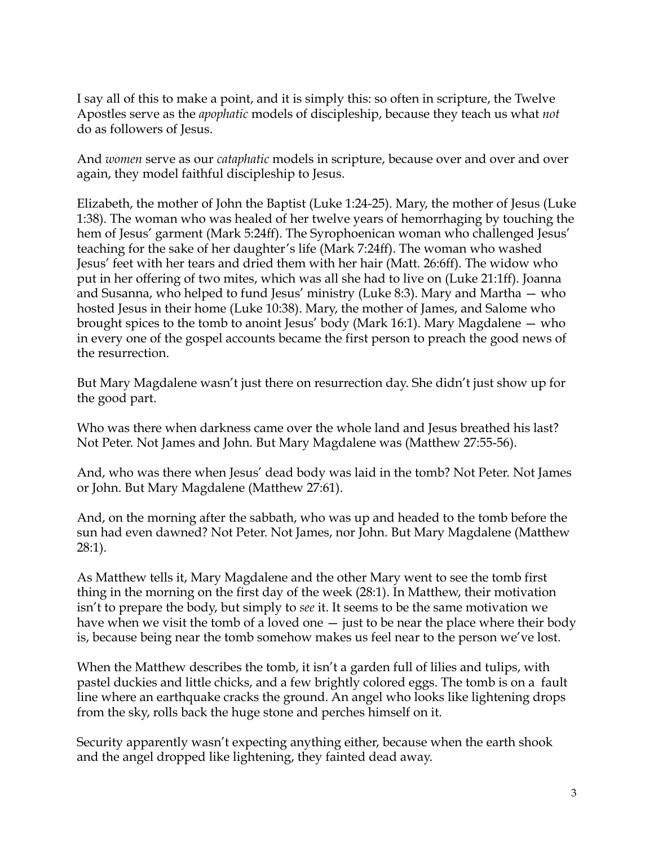I say all of this to make a point, and it is simply this: so often in scripture, the Twelve Apostles serve as the *apophatic* models of discipleship, because they teach us what *not* do as followers of Jesus.

And *women* serve as our *cataphatic* models in scripture, because over and over and over again, they model faithful discipleship to Jesus.

Elizabeth, the mother of John the Baptist (Luke 1:24-25). Mary, the mother of Jesus (Luke 1:38). The woman who was healed of her twelve years of hemorrhaging by touching the hem of Jesus' garment (Mark 5:24ff). The Syrophoenican woman who challenged Jesus' teaching for the sake of her daughter's life (Mark 7:24ff). The woman who washed Jesus' feet with her tears and dried them with her hair (Matt. 26:6ff). The widow who put in her offering of two mites, which was all she had to live on (Luke 21:1ff). Joanna and Susanna, who helped to fund Jesus' ministry (Luke 8:3). Mary and Martha — who hosted Jesus in their home (Luke 10:38). Mary, the mother of James, and Salome who brought spices to the tomb to anoint Jesus' body (Mark 16:1). Mary Magdalene  $-$  who in every one of the gospel accounts became the first person to preach the good news of the resurrection.

But Mary Magdalene wasn't just there on resurrection day. She didn't just show up for the good part.

Who was there when darkness came over the whole land and Jesus breathed his last? Not Peter. Not James and John. But Mary Magdalene was (Matthew 27:55-56).

And, who was there when Jesus' dead body was laid in the tomb? Not Peter. Not James or John. But Mary Magdalene (Matthew 27:61).

And, on the morning after the sabbath, who was up and headed to the tomb before the sun had even dawned? Not Peter. Not James, nor John. But Mary Magdalene (Matthew 28:1).

As Matthew tells it, Mary Magdalene and the other Mary went to see the tomb first thing in the morning on the first day of the week (28:1). In Matthew, their motivation isn't to prepare the body, but simply to *see* it. It seems to be the same motivation we have when we visit the tomb of a loved one  $-$  just to be near the place where their body is, because being near the tomb somehow makes us feel near to the person we've lost.

When the Matthew describes the tomb, it isn't a garden full of lilies and tulips, with pastel duckies and little chicks, and a few brightly colored eggs. The tomb is on a fault line where an earthquake cracks the ground. An angel who looks like lightening drops from the sky, rolls back the huge stone and perches himself on it.

Security apparently wasn't expecting anything either, because when the earth shook and the angel dropped like lightening, they fainted dead away.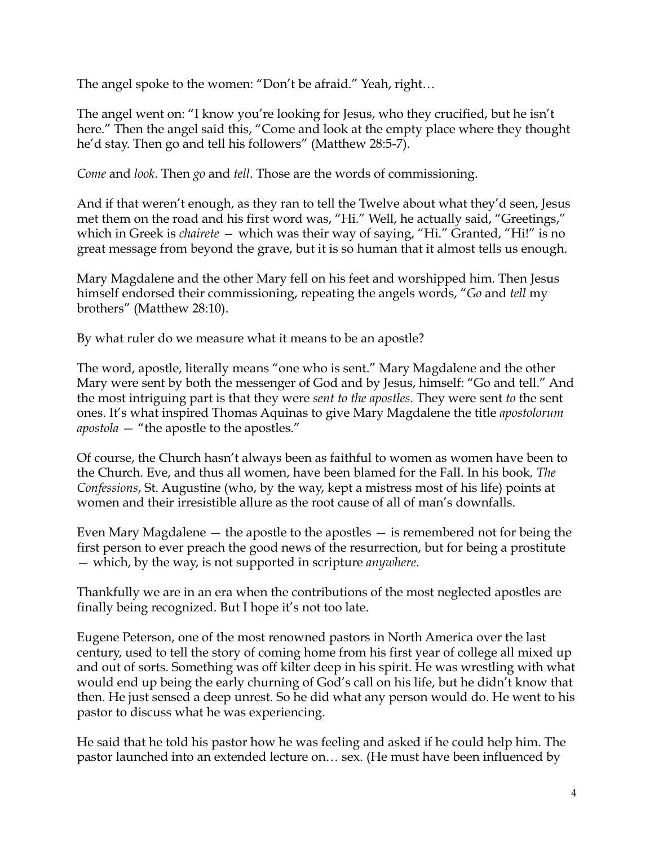The angel spoke to the women: "Don't be afraid." Yeah, right…

The angel went on: "I know you're looking for Jesus, who they crucified, but he isn't here." Then the angel said this, "Come and look at the empty place where they thought he'd stay. Then go and tell his followers" (Matthew 28:5-7).

*Come* and *look*. Then *go* and *tell*. Those are the words of commissioning.

And if that weren't enough, as they ran to tell the Twelve about what they'd seen, Jesus met them on the road and his first word was, "Hi." Well, he actually said, "Greetings," which in Greek is *chairete —* which was their way of saying, "Hi." Granted, "Hi!" is no great message from beyond the grave, but it is so human that it almost tells us enough.

Mary Magdalene and the other Mary fell on his feet and worshipped him. Then Jesus himself endorsed their commissioning, repeating the angels words, "*Go* and *tell* my brothers" (Matthew 28:10).

By what ruler do we measure what it means to be an apostle?

The word, apostle, literally means "one who is sent." Mary Magdalene and the other Mary were sent by both the messenger of God and by Jesus, himself: "Go and tell." And the most intriguing part is that they were *sent to the apostles*. They were sent *to* the sent ones. It's what inspired Thomas Aquinas to give Mary Magdalene the title *apostolorum apostola* — "the apostle to the apostles."

Of course, the Church hasn't always been as faithful to women as women have been to the Church. Eve, and thus all women, have been blamed for the Fall. In his book*, The Confessions*, St. Augustine (who, by the way, kept a mistress most of his life) points at women and their irresistible allure as the root cause of all of man's downfalls.

Even Mary Magdalene — the apostle to the apostles — is remembered not for being the first person to ever preach the good news of the resurrection, but for being a prostitute — which, by the way, is not supported in scripture *anywhere*.

Thankfully we are in an era when the contributions of the most neglected apostles are finally being recognized. But I hope it's not too late.

Eugene Peterson, one of the most renowned pastors in North America over the last century, used to tell the story of coming home from his first year of college all mixed up and out of sorts. Something was off kilter deep in his spirit. He was wrestling with what would end up being the early churning of God's call on his life, but he didn't know that then. He just sensed a deep unrest. So he did what any person would do. He went to his pastor to discuss what he was experiencing.

He said that he told his pastor how he was feeling and asked if he could help him. The pastor launched into an extended lecture on… sex. (He must have been influenced by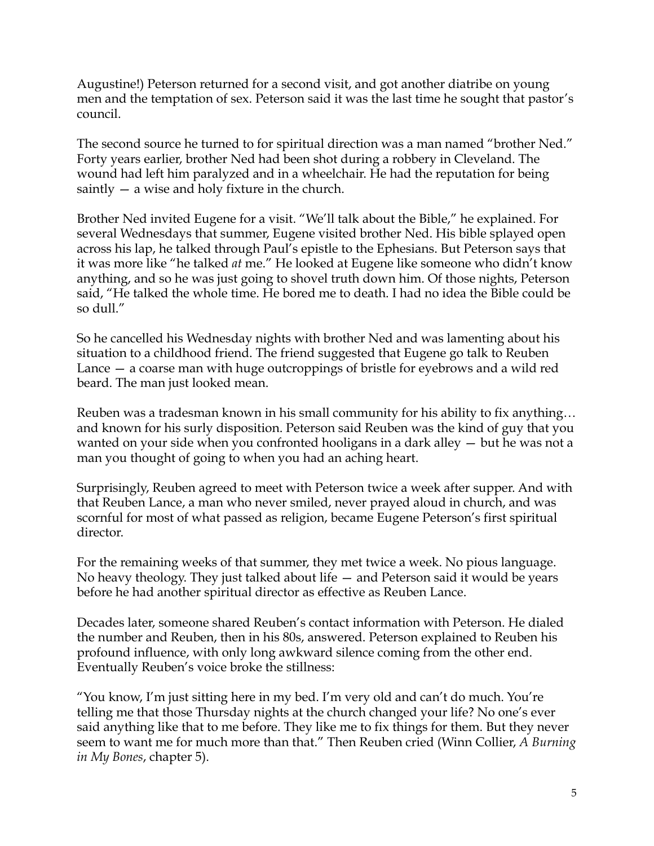Augustine!) Peterson returned for a second visit, and got another diatribe on young men and the temptation of sex. Peterson said it was the last time he sought that pastor's council.

The second source he turned to for spiritual direction was a man named "brother Ned." Forty years earlier, brother Ned had been shot during a robbery in Cleveland. The wound had left him paralyzed and in a wheelchair. He had the reputation for being saintly — a wise and holy fixture in the church.

Brother Ned invited Eugene for a visit. "We'll talk about the Bible," he explained. For several Wednesdays that summer, Eugene visited brother Ned. His bible splayed open across his lap, he talked through Paul's epistle to the Ephesians. But Peterson says that it was more like "he talked *at* me." He looked at Eugene like someone who didn't know anything, and so he was just going to shovel truth down him. Of those nights, Peterson said, "He talked the whole time. He bored me to death. I had no idea the Bible could be so dull."

So he cancelled his Wednesday nights with brother Ned and was lamenting about his situation to a childhood friend. The friend suggested that Eugene go talk to Reuben Lance — a coarse man with huge outcroppings of bristle for eyebrows and a wild red beard. The man just looked mean.

Reuben was a tradesman known in his small community for his ability to fix anything… and known for his surly disposition. Peterson said Reuben was the kind of guy that you wanted on your side when you confronted hooligans in a dark alley — but he was not a man you thought of going to when you had an aching heart.

Surprisingly, Reuben agreed to meet with Peterson twice a week after supper. And with that Reuben Lance, a man who never smiled, never prayed aloud in church, and was scornful for most of what passed as religion, became Eugene Peterson's first spiritual director.

For the remaining weeks of that summer, they met twice a week. No pious language. No heavy theology. They just talked about life — and Peterson said it would be years before he had another spiritual director as effective as Reuben Lance.

Decades later, someone shared Reuben's contact information with Peterson. He dialed the number and Reuben, then in his 80s, answered. Peterson explained to Reuben his profound influence, with only long awkward silence coming from the other end. Eventually Reuben's voice broke the stillness:

"You know, I'm just sitting here in my bed. I'm very old and can't do much. You're telling me that those Thursday nights at the church changed your life? No one's ever said anything like that to me before. They like me to fix things for them. But they never seem to want me for much more than that." Then Reuben cried (Winn Collier, *A Burning in My Bones*, chapter 5).